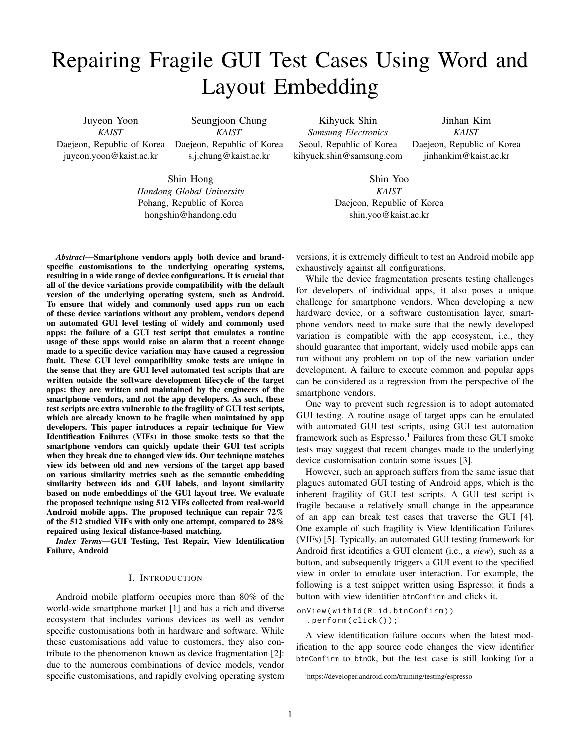# Repairing Fragile GUI Test Cases Using Word and Layout Embedding

Juyeon Yoon *KAIST* Daejeon, Republic of Korea juyeon.yoon@kaist.ac.kr

Seungjoon Chung *KAIST* Daejeon, Republic of Korea s.j.chung@kaist.ac.kr

Kihyuck Shin *Samsung Electronics* Seoul, Republic of Korea kihyuck.shin@samsung.com

Jinhan Kim *KAIST* Daejeon, Republic of Korea jinhankim@kaist.ac.kr

Shin Hong *Handong Global University* Pohang, Republic of Korea hongshin@handong.edu

Shin Yoo *KAIST* Daejeon, Republic of Korea shin.yoo@kaist.ac.kr

*Abstract*—Smartphone vendors apply both device and brandspecific customisations to the underlying operating systems, resulting in a wide range of device configurations. It is crucial that all of the device variations provide compatibility with the default version of the underlying operating system, such as Android. To ensure that widely and commonly used apps run on each of these device variations without any problem, vendors depend on automated GUI level testing of widely and commonly used apps: the failure of a GUI test script that emulates a routine usage of these apps would raise an alarm that a recent change made to a specific device variation may have caused a regression fault. These GUI level compatibility smoke tests are unique in the sense that they are GUI level automated test scripts that are written outside the software development lifecycle of the target apps: they are written and maintained by the engineers of the smartphone vendors, and not the app developers. As such, these test scripts are extra vulnerable to the fragility of GUI test scripts, which are already known to be fragile when maintained by app developers. This paper introduces a repair technique for View Identification Failures (VIFs) in those smoke tests so that the smartphone vendors can quickly update their GUI test scripts when they break due to changed view ids. Our technique matches view ids between old and new versions of the target app based on various similarity metrics such as the semantic embedding similarity between ids and GUI labels, and layout similarity based on node embeddings of the GUI layout tree. We evaluate the proposed technique using 512 VIFs collected from real-world Android mobile apps. The proposed technique can repair 72% of the 512 studied VIFs with only one attempt, compared to 28% repaired using lexical distance-based matching.

*Index Terms*—GUI Testing, Test Repair, View Identification Failure, Android

# I. INTRODUCTION

Android mobile platform occupies more than 80% of the world-wide smartphone market [1] and has a rich and diverse ecosystem that includes various devices as well as vendor specific customisations both in hardware and software. While these customisations add value to customers, they also contribute to the phenomenon known as device fragmentation [2]: due to the numerous combinations of device models, vendor specific customisations, and rapidly evolving operating system versions, it is extremely difficult to test an Android mobile app exhaustively against all configurations.

While the device fragmentation presents testing challenges for developers of individual apps, it also poses a unique challenge for smartphone vendors. When developing a new hardware device, or a software customisation layer, smartphone vendors need to make sure that the newly developed variation is compatible with the app ecosystem, i.e., they should guarantee that important, widely used mobile apps can run without any problem on top of the new variation under development. A failure to execute common and popular apps can be considered as a regression from the perspective of the smartphone vendors.

One way to prevent such regression is to adopt automated GUI testing. A routine usage of target apps can be emulated with automated GUI test scripts, using GUI test automation framework such as Espresso.<sup>1</sup> Failures from these GUI smoke tests may suggest that recent changes made to the underlying device customisation contain some issues [3].

However, such an approach suffers from the same issue that plagues automated GUI testing of Android apps, which is the inherent fragility of GUI test scripts. A GUI test script is fragile because a relatively small change in the appearance of an app can break test cases that traverse the GUI [4]. One example of such fragility is View Identification Failures (VIFs) [5]. Typically, an automated GUI testing framework for Android first identifies a GUI element (i.e., a *view*), such as a button, and subsequently triggers a GUI event to the specified view in order to emulate user interaction. For example, the following is a test snippet written using Espresso: it finds a button with view identifier btnConfirm and clicks it.

```
onView (withId (R.id.btnConfirm))
  . perform ( click () ) ;
```
A view identification failure occurs when the latest modification to the app source code changes the view identifier btnConfirm to btnOk, but the test case is still looking for a

<sup>1</sup>https://developer.android.com/training/testing/espresso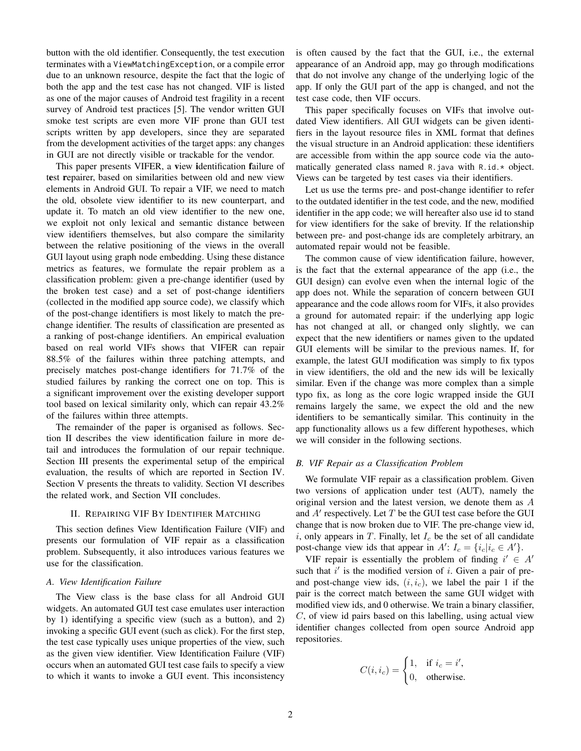button with the old identifier. Consequently, the test execution terminates with a ViewMatchingException, or a compile error due to an unknown resource, despite the fact that the logic of both the app and the test case has not changed. VIF is listed as one of the major causes of Android test fragility in a recent survey of Android test practices [5]. The vendor written GUI smoke test scripts are even more VIF prone than GUI test scripts written by app developers, since they are separated from the development activities of the target apps: any changes in GUI are not directly visible or trackable for the vendor.

This paper presents VIFER, a view identification failure of test repairer, based on similarities between old and new view elements in Android GUI. To repair a VIF, we need to match the old, obsolete view identifier to its new counterpart, and update it. To match an old view identifier to the new one, we exploit not only lexical and semantic distance between view identifiers themselves, but also compare the similarity between the relative positioning of the views in the overall GUI layout using graph node embedding. Using these distance metrics as features, we formulate the repair problem as a classification problem: given a pre-change identifier (used by the broken test case) and a set of post-change identifiers (collected in the modified app source code), we classify which of the post-change identifiers is most likely to match the prechange identifier. The results of classification are presented as a ranking of post-change identifiers. An empirical evaluation based on real world VIFs shows that VIFER can repair 88.5% of the failures within three patching attempts, and precisely matches post-change identifiers for 71.7% of the studied failures by ranking the correct one on top. This is a significant improvement over the existing developer support tool based on lexical similarity only, which can repair 43.2% of the failures within three attempts.

The remainder of the paper is organised as follows. Section II describes the view identification failure in more detail and introduces the formulation of our repair technique. Section III presents the experimental setup of the empirical evaluation, the results of which are reported in Section IV. Section V presents the threats to validity. Section VI describes the related work, and Section VII concludes.

#### II. REPAIRING VIF BY IDENTIFIER MATCHING

This section defines View Identification Failure (VIF) and presents our formulation of VIF repair as a classification problem. Subsequently, it also introduces various features we use for the classification.

#### *A. View Identification Failure*

The View class is the base class for all Android GUI widgets. An automated GUI test case emulates user interaction by 1) identifying a specific view (such as a button), and 2) invoking a specific GUI event (such as click). For the first step, the test case typically uses unique properties of the view, such as the given view identifier. View Identification Failure (VIF) occurs when an automated GUI test case fails to specify a view to which it wants to invoke a GUI event. This inconsistency is often caused by the fact that the GUI, i.e., the external appearance of an Android app, may go through modifications that do not involve any change of the underlying logic of the app. If only the GUI part of the app is changed, and not the test case code, then VIF occurs.

This paper specifically focuses on VIFs that involve outdated View identifiers. All GUI widgets can be given identifiers in the layout resource files in XML format that defines the visual structure in an Android application: these identifiers are accessible from within the app source code via the automatically generated class named R.java with R.id.\* object. Views can be targeted by test cases via their identifiers.

Let us use the terms pre- and post-change identifier to refer to the outdated identifier in the test code, and the new, modified identifier in the app code; we will hereafter also use id to stand for view identifiers for the sake of brevity. If the relationship between pre- and post-change ids are completely arbitrary, an automated repair would not be feasible.

The common cause of view identification failure, however, is the fact that the external appearance of the app (i.e., the GUI design) can evolve even when the internal logic of the app does not. While the separation of concern between GUI appearance and the code allows room for VIFs, it also provides a ground for automated repair: if the underlying app logic has not changed at all, or changed only slightly, we can expect that the new identifiers or names given to the updated GUI elements will be similar to the previous names. If, for example, the latest GUI modification was simply to fix typos in view identifiers, the old and the new ids will be lexically similar. Even if the change was more complex than a simple typo fix, as long as the core logic wrapped inside the GUI remains largely the same, we expect the old and the new identifiers to be semantically similar. This continuity in the app functionality allows us a few different hypotheses, which we will consider in the following sections.

## *B. VIF Repair as a Classification Problem*

We formulate VIF repair as a classification problem. Given two versions of application under test (AUT), namely the original version and the latest version, we denote them as A and  $A'$  respectively. Let  $T$  be the GUI test case before the GUI change that is now broken due to VIF. The pre-change view id, i, only appears in  $T$ . Finally, let  $I_c$  be the set of all candidate post-change view ids that appear in  $A'$ :  $I_c = \{i_c | i_c \in A'\}$ .

VIF repair is essentially the problem of finding  $i' \in A'$ such that  $i'$  is the modified version of i. Given a pair of preand post-change view ids,  $(i, i_c)$ , we label the pair 1 if the pair is the correct match between the same GUI widget with modified view ids, and 0 otherwise. We train a binary classifier,  $C$ , of view id pairs based on this labelling, using actual view identifier changes collected from open source Android app repositories.

$$
C(i, i_c) = \begin{cases} 1, & \text{if } i_c = i', \\ 0, & \text{otherwise.} \end{cases}
$$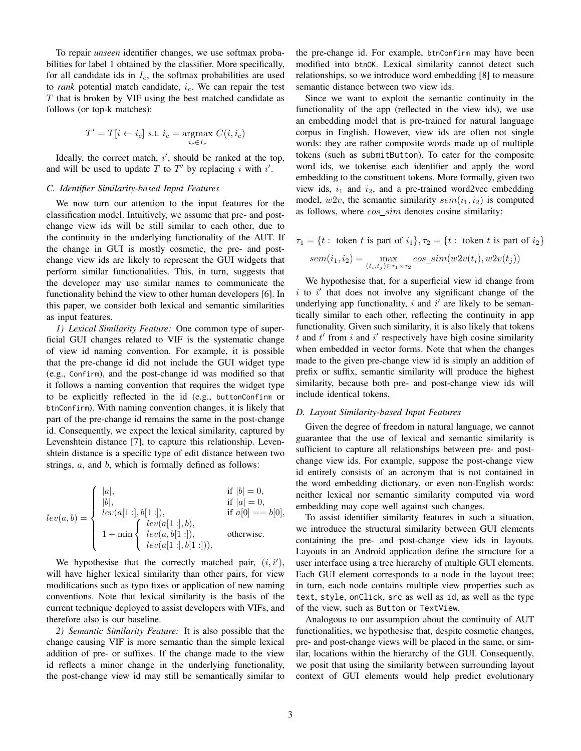To repair *unseen* identifier changes, we use softmax probabilities for label 1 obtained by the classifier. More specifically, for all candidate ids in  $I_c$ , the softmax probabilities are used to *rank* potential match candidate,  $i_c$ . We can repair the test  $T$  that is broken by VIF using the best matched candidate as follows (or top-k matches):

$$
T' = T[i \leftarrow i_c] \text{ s.t. } i_c = \underset{i_c \in I_c}{\text{argmax}} C(i, i_c)
$$

Ideally, the correct match,  $i'$ , should be ranked at the top, and will be used to update  $T$  to  $T'$  by replacing i with i'.

# *C. Identifier Similarity-based Input Features*

We now turn our attention to the input features for the classification model. Intuitively, we assume that pre- and postchange view ids will be still similar to each other, due to the continuity in the underlying functionality of the AUT. If the change in GUI is mostly cosmetic, the pre- and postchange view ids are likely to represent the GUI widgets that perform similar functionalities. This, in turn, suggests that the developer may use similar names to communicate the functionality behind the view to other human developers [6]. In this paper, we consider both lexical and semantic similarities as input features.

*1) Lexical Similarity Feature:* One common type of superficial GUI changes related to VIF is the systematic change of view id naming convention. For example, it is possible that the pre-change id did not include the GUI widget type (e.g., Confirm), and the post-change id was modified so that it follows a naming convention that requires the widget type to be explicitly reflected in the id (e.g., buttonConfirm or btnConfirm). With naming convention changes, it is likely that part of the pre-change id remains the same in the post-change id. Consequently, we expect the lexical similarity, captured by Levenshtein distance [7], to capture this relationship. Levenshtein distance is a specific type of edit distance between two strings,  $a$ , and  $b$ , which is formally defined as follows:

$$
lev(a,b) = \begin{cases} |a|, & \text{if } |b| = 0, \\ |b|, & \text{if } |a| = 0, \\ lev(a[1 :], b[1 :]), & \text{if } a[0] = b[0], \\ 1 + \min \begin{cases} lev(a[1 :], b), \\ lev(a, b[1 :]), \\ \end{cases}, & \text{otherwise.} \end{cases}
$$

We hypothesise that the correctly matched pair,  $(i, i')$ , will have higher lexical similarity than other pairs, for view modifications such as typo fixes or application of new naming conventions. Note that lexical similarity is the basis of the current technique deployed to assist developers with VIFs, and therefore also is our baseline.

*2) Semantic Similarity Feature:* It is also possible that the change causing VIF is more semantic than the simple lexical addition of pre- or suffixes. If the change made to the view id reflects a minor change in the underlying functionality, the post-change view id may still be semantically similar to the pre-change id. For example, btnConfirm may have been modified into btnOK. Lexical similarity cannot detect such relationships, so we introduce word embedding [8] to measure semantic distance between two view ids.

Since we want to exploit the semantic continuity in the functionality of the app (reflected in the view ids), we use an embedding model that is pre-trained for natural language corpus in English. However, view ids are often not single words: they are rather composite words made up of multiple tokens (such as submitButton). To cater for the composite word ids, we tokenise each identifier and apply the word embedding to the constituent tokens. More formally, given two view ids,  $i_1$  and  $i_2$ , and a pre-trained word2vec embedding model,  $w2v$ , the semantic similarity  $sem(i_1, i_2)$  is computed as follows, where  $cos\_sim$  denotes cosine similarity:

$$
\tau_1 = \{t : \text{ token } t \text{ is part of } i_1\}, \tau_2 = \{t : \text{ token } t \text{ is part of } i_2\}
$$
\n
$$
sem(i_1, i_2) = \max_{(t_i, t_j) \in \tau_1 \times \tau_2} cos\_sim(w2v(t_i), w2v(t_j))
$$

We hypothesise that, for a superficial view id change from  $i$  to  $i'$  that does not involve any significant change of the underlying app functionality,  $i$  and  $i'$  are likely to be semantically similar to each other, reflecting the continuity in app functionality. Given such similarity, it is also likely that tokens  $t$  and  $t'$  from  $i$  and  $i'$  respectively have high cosine similarity when embedded in vector forms. Note that when the changes made to the given pre-change view id is simply an addition of prefix or suffix, semantic similarity will produce the highest similarity, because both pre- and post-change view ids will include identical tokens.

#### *D. Layout Similarity-based Input Features*

Given the degree of freedom in natural language, we cannot guarantee that the use of lexical and semantic similarity is sufficient to capture all relationships between pre- and postchange view ids. For example, suppose the post-change view id entirely consists of an acronym that is not contained in the word embedding dictionary, or even non-English words: neither lexical nor semantic similarity computed via word embedding may cope well against such changes.

To assist identifier similarity features in such a situation, we introduce the structural similarity between GUI elements containing the pre- and post-change view ids in layouts. Layouts in an Android application define the structure for a user interface using a tree hierarchy of multiple GUI elements. Each GUI element corresponds to a node in the layout tree; in turn, each node contains multiple view properties such as text, style, onClick, src as well as id, as well as the type of the view, such as Button or TextView.

Analogous to our assumption about the continuity of AUT functionalities, we hypothesise that, despite cosmetic changes, pre- and post-change views will be placed in the same, or similar, locations within the hierarchy of the GUI. Consequently, we posit that using the similarity between surrounding layout context of GUI elements would help predict evolutionary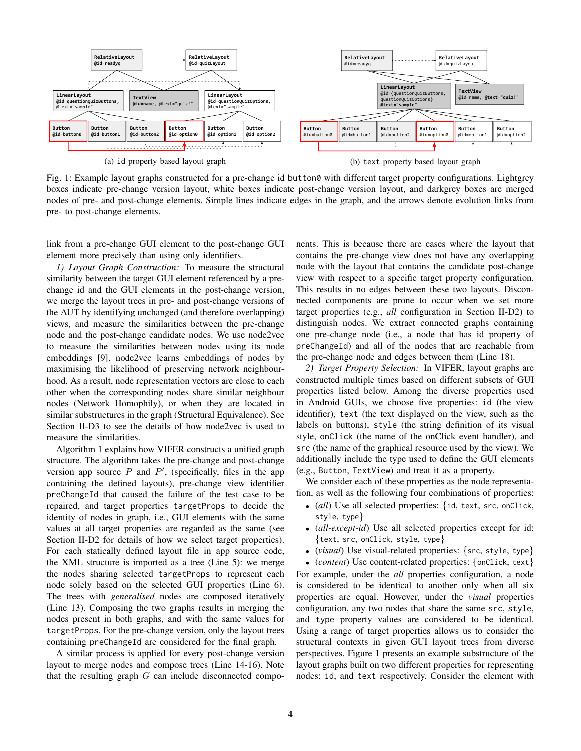

Fig. 1: Example layout graphs constructed for a pre-change id button0 with different target property configurations. Lightgrey boxes indicate pre-change version layout, white boxes indicate post-change version layout, and darkgrey boxes are merged nodes of pre- and post-change elements. Simple lines indicate edges in the graph, and the arrows denote evolution links from pre- to post-change elements.

link from a pre-change GUI element to the post-change GUI element more precisely than using only identifiers.

*1) Layout Graph Construction:* To measure the structural similarity between the target GUI element referenced by a prechange id and the GUI elements in the post-change version, we merge the layout trees in pre- and post-change versions of the AUT by identifying unchanged (and therefore overlapping) views, and measure the similarities between the pre-change node and the post-change candidate nodes. We use node2vec to measure the similarities between nodes using its node embeddings [9]. node2vec learns embeddings of nodes by maximising the likelihood of preserving network neighbourhood. As a result, node representation vectors are close to each other when the corresponding nodes share similar neighbour nodes (Network Homophily), or when they are located in similar substructures in the graph (Structural Equivalence). See Section II-D3 to see the details of how node2vec is used to measure the similarities.

Algorithm 1 explains how VIFER constructs a unified graph structure. The algorithm takes the pre-change and post-change version app source  $P$  and  $P'$ , (specifically, files in the app containing the defined layouts), pre-change view identifier preChangeId that caused the failure of the test case to be repaired, and target properties targetProps to decide the identity of nodes in graph, i.e., GUI elements with the same values at all target properties are regarded as the same (see Section II-D2 for details of how we select target properties). For each statically defined layout file in app source code, the XML structure is imported as a tree (Line 5): we merge the nodes sharing selected targetProps to represent each node solely based on the selected GUI properties (Line 6). The trees with *generalised* nodes are composed iteratively (Line 13). Composing the two graphs results in merging the nodes present in both graphs, and with the same values for targetProps. For the pre-change version, only the layout trees containing preChangeId are considered for the final graph.

A similar process is applied for every post-change version layout to merge nodes and compose trees (Line 14-16). Note that the resulting graph  $G$  can include disconnected components. This is because there are cases where the layout that contains the pre-change view does not have any overlapping node with the layout that contains the candidate post-change view with respect to a specific target property configuration. This results in no edges between these two layouts. Disconnected components are prone to occur when we set more target properties (e.g., *all* configuration in Section II-D2) to distinguish nodes. We extract connected graphs containing one pre-change node (i.e., a node that has id property of preChangeId) and all of the nodes that are reachable from the pre-change node and edges between them (Line 18).

*2) Target Property Selection:* In VIFER, layout graphs are constructed multiple times based on different subsets of GUI properties listed below. Among the diverse properties used in Android GUIs, we choose five properties: id (the view identifier), text (the text displayed on the view, such as the labels on buttons), style (the string definition of its visual style, onClick (the name of the onClick event handler), and src (the name of the graphical resource used by the view). We additionally include the type used to define the GUI elements (e.g., Button, TextView) and treat it as a property.

We consider each of these properties as the node representation, as well as the following four combinations of properties:

- (*all*) Use all selected properties: {id, text, src, onClick, style, type}
- (*all-except-id*) Use all selected properties except for id: {text, src, onClick, style, type}
- (*visual*) Use visual-related properties: {src, style, type}
- (*content*) Use content-related properties: {onClick, text}

For example, under the *all* properties configuration, a node is considered to be identical to another only when all six properties are equal. However, under the *visual* properties configuration, any two nodes that share the same src, style, and type property values are considered to be identical. Using a range of target properties allows us to consider the structural contexts in given GUI layout trees from diverse perspectives. Figure 1 presents an example substructure of the layout graphs built on two different properties for representing nodes: id, and text respectively. Consider the element with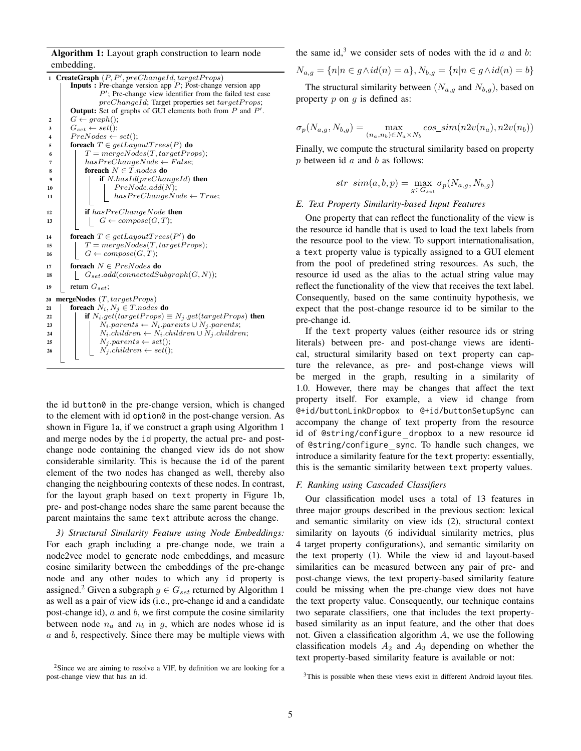Algorithm 1: Layout graph construction to learn node embedding.

|    | 1 CreateGraph $(P, P', preChangeId, targetProps)$                     |
|----|-----------------------------------------------------------------------|
|    | <b>Inputs</b> : Pre-change version app $P$ ; Post-change version app  |
|    | $P'$ ; Pre-change view identifier from the failed test case           |
|    | $preChangeId$ ; Target properties set $targetProps$ ;                 |
|    | <b>Output:</b> Set of graphs of GUI elements both from $P$ and $P'$ . |
| 2  | $G \leftarrow graph($ ;                                               |
| 3  | $G_{set} \leftarrow set();$                                           |
| 4  | $PreNodes \leftarrow set();$                                          |
| 5  | foreach $T \in getLayout Trees(P)$ do                                 |
| 6  | $T = mergeNodes(T, target Props);$                                    |
| 7  | $has PreChangeNode \leftarrow False;$                                 |
| 8  | foreach $N \in T$ . <i>nodes</i> do                                   |
| 9  | if $N. has Id(preChangeId)$ then                                      |
| 10 | PreNode.add(N);                                                       |
| 11 | $has PreChangeNode \leftarrow True;$                                  |
|    |                                                                       |
| 12 | if $has PreChangeNode$ then                                           |
| 13 | $G \leftarrow \textit{composite}(G, T);$                              |
| 14 | foreach $T \in getLayoutTree(S(P'))$ do                               |
| 15 | $T = mergeNodes(T, target Props);$                                    |
| 16 | $G \leftarrow \textit{composite}(G, T);$                              |
|    | foreach $N \in PreNodes$ do                                           |
| 17 |                                                                       |
| 18 | $G_{set}.add(connectedSubgraph(G, N));$                               |
| 19 | return $G_{set}$ ;                                                    |
| 20 | mergeNodes $(T, target Props)$                                        |
| 21 | foreach $N_i, N_j \in T$ .nodes do                                    |
| 22 | if $N_i.get(targetProps) \equiv N_i.get(targetProps)$ then            |
| 23 | $N_i.parents \leftarrow N_i parents \cup N_j parents;$                |
| 24 | $N_i$ .children $\leftarrow N_i$ .children $\cup N_j$ .children;      |
| 25 | $N_i.parents \leftarrow set();$                                       |
| 26 | $N_i$ .children $\leftarrow set$ ;                                    |
|    |                                                                       |
|    |                                                                       |

the id button0 in the pre-change version, which is changed to the element with id option0 in the post-change version. As shown in Figure 1a, if we construct a graph using Algorithm 1 and merge nodes by the id property, the actual pre- and postchange node containing the changed view ids do not show considerable similarity. This is because the id of the parent element of the two nodes has changed as well, thereby also changing the neighbouring contexts of these nodes. In contrast, for the layout graph based on text property in Figure 1b, pre- and post-change nodes share the same parent because the parent maintains the same text attribute across the change.

*3) Structural Similarity Feature using Node Embeddings:* For each graph including a pre-change node, we train a node2vec model to generate node embeddings, and measure cosine similarity between the embeddings of the pre-change node and any other nodes to which any id property is assigned.<sup>2</sup> Given a subgraph  $g \in G_{set}$  returned by Algorithm 1 as well as a pair of view ids (i.e., pre-change id and a candidate post-change id),  $a$  and  $b$ , we first compute the cosine similarity between node  $n_a$  and  $n_b$  in g, which are nodes whose id is  $a$  and  $b$ , respectively. Since there may be multiple views with the same id,<sup>3</sup> we consider sets of nodes with the id  $a$  and  $b$ :  $\sum_{n=1}^{\infty} a_n \sum_{i=1}^{\infty} a_i d(n) = a_n^T N_i$ ,  $\sum_{n=1}^{\infty} a_n^T M_n = b_n^T$ 

$$
x_1x_2 = \frac{1}{\mu} \left[ \frac{\mu}{\mu} \in g \wedge ta(n) = a_f, x_0, g = \frac{1}{\mu} \left[ \frac{\mu}{\mu} \in g \wedge ta(n) = a_f \right] \right]
$$

The structural similarity between  $(N_{a,g}$  and  $N_{b,g})$ , based on property  $p$  on  $q$  is defined as:

$$
\sigma_p(N_{a,g}, N_{b,g}) = \max_{(n_a, n_b) \in N_a \times N_b} cos\_sim(n2v(n_a), n2v(n_b))
$$

Finally, we compute the structural similarity based on property  $p$  between id  $a$  and  $b$  as follows:

$$
str\_sim(a, b, p) = \max_{g \in G_{set}} \sigma_p(N_{a,g}, N_{b,g})
$$

## *E. Text Property Similarity-based Input Features*

One property that can reflect the functionality of the view is the resource id handle that is used to load the text labels from the resource pool to the view. To support internationalisation, a text property value is typically assigned to a GUI element from the pool of predefined string resources. As such, the resource id used as the alias to the actual string value may reflect the functionality of the view that receives the text label. Consequently, based on the same continuity hypothesis, we expect that the post-change resource id to be similar to the pre-change id.

If the text property values (either resource ids or string literals) between pre- and post-change views are identical, structural similarity based on text property can capture the relevance, as pre- and post-change views will be merged in the graph, resulting in a similarity of 1.0. However, there may be changes that affect the text property itself. For example, a view id change from @+id/buttonLinkDropbox to @+id/buttonSetupSync can accompany the change of text property from the resource id of @string/configure dropbox to a new resource id of @string/configure sync. To handle such changes, we introduce a similarity feature for the text property: essentially, this is the semantic similarity between text property values.

#### *F. Ranking using Cascaded Classifiers*

Our classification model uses a total of 13 features in three major groups described in the previous section: lexical and semantic similarity on view ids (2), structural context similarity on layouts (6 individual similarity metrics, plus 4 target property configurations), and semantic similarity on the text property (1). While the view id and layout-based similarities can be measured between any pair of pre- and post-change views, the text property-based similarity feature could be missing when the pre-change view does not have the text property value. Consequently, our technique contains two separate classifiers, one that includes the text propertybased similarity as an input feature, and the other that does not. Given a classification algorithm  $A$ , we use the following classification models  $A_2$  and  $A_3$  depending on whether the text property-based similarity feature is available or not:

<sup>&</sup>lt;sup>2</sup>Since we are aiming to resolve a VIF, by definition we are looking for a post-change view that has an id.

<sup>&</sup>lt;sup>3</sup>This is possible when these views exist in different Android layout files.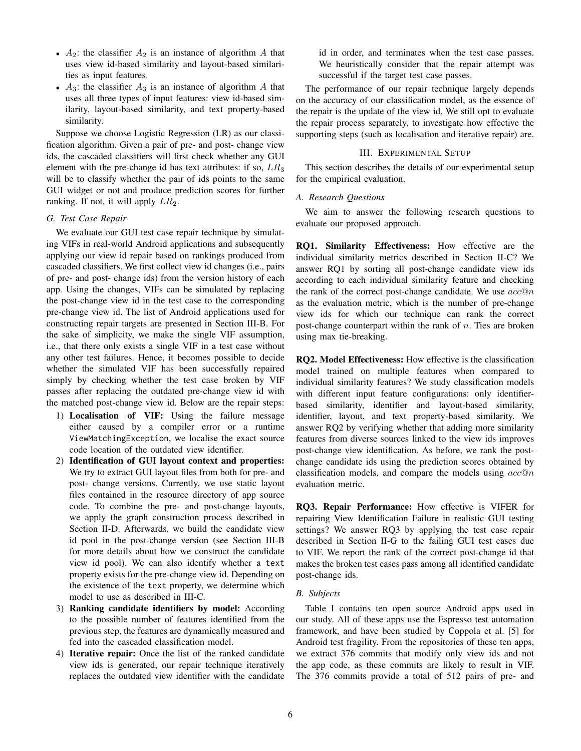- $A_2$ : the classifier  $A_2$  is an instance of algorithm A that uses view id-based similarity and layout-based similarities as input features.
- $A_3$ : the classifier  $A_3$  is an instance of algorithm A that uses all three types of input features: view id-based similarity, layout-based similarity, and text property-based similarity.

Suppose we choose Logistic Regression (LR) as our classification algorithm. Given a pair of pre- and post- change view ids, the cascaded classifiers will first check whether any GUI element with the pre-change id has text attributes: if so,  $LR_3$ will be to classify whether the pair of ids points to the same GUI widget or not and produce prediction scores for further ranking. If not, it will apply  $LR_2$ .

# *G. Test Case Repair*

We evaluate our GUI test case repair technique by simulating VIFs in real-world Android applications and subsequently applying our view id repair based on rankings produced from cascaded classifiers. We first collect view id changes (i.e., pairs of pre- and post- change ids) from the version history of each app. Using the changes, VIFs can be simulated by replacing the post-change view id in the test case to the corresponding pre-change view id. The list of Android applications used for constructing repair targets are presented in Section III-B. For the sake of simplicity, we make the single VIF assumption, i.e., that there only exists a single VIF in a test case without any other test failures. Hence, it becomes possible to decide whether the simulated VIF has been successfully repaired simply by checking whether the test case broken by VIF passes after replacing the outdated pre-change view id with the matched post-change view id. Below are the repair steps:

- 1) Localisation of VIF: Using the failure message either caused by a compiler error or a runtime ViewMatchingException, we localise the exact source code location of the outdated view identifier.
- 2) Identification of GUI layout context and properties: We try to extract GUI layout files from both for pre- and post- change versions. Currently, we use static layout files contained in the resource directory of app source code. To combine the pre- and post-change layouts, we apply the graph construction process described in Section II-D. Afterwards, we build the candidate view id pool in the post-change version (see Section III-B for more details about how we construct the candidate view id pool). We can also identify whether a text property exists for the pre-change view id. Depending on the existence of the text property, we determine which model to use as described in III-C.
- 3) Ranking candidate identifiers by model: According to the possible number of features identified from the previous step, the features are dynamically measured and fed into the cascaded classification model.
- 4) Iterative repair: Once the list of the ranked candidate view ids is generated, our repair technique iteratively replaces the outdated view identifier with the candidate

id in order, and terminates when the test case passes. We heuristically consider that the repair attempt was successful if the target test case passes.

The performance of our repair technique largely depends on the accuracy of our classification model, as the essence of the repair is the update of the view id. We still opt to evaluate the repair process separately, to investigate how effective the supporting steps (such as localisation and iterative repair) are.

# III. EXPERIMENTAL SETUP

This section describes the details of our experimental setup for the empirical evaluation.

## *A. Research Questions*

We aim to answer the following research questions to evaluate our proposed approach.

RQ1. Similarity Effectiveness: How effective are the individual similarity metrics described in Section II-C? We answer RQ1 by sorting all post-change candidate view ids according to each individual similarity feature and checking the rank of the correct post-change candidate. We use  $acc@n$ as the evaluation metric, which is the number of pre-change view ids for which our technique can rank the correct post-change counterpart within the rank of  $n$ . Ties are broken using max tie-breaking.

RQ2. Model Effectiveness: How effective is the classification model trained on multiple features when compared to individual similarity features? We study classification models with different input feature configurations: only identifierbased similarity, identifier and layout-based similarity, identifier, layout, and text property-based similarity. We answer RQ2 by verifying whether that adding more similarity features from diverse sources linked to the view ids improves post-change view identification. As before, we rank the postchange candidate ids using the prediction scores obtained by classification models, and compare the models using  $acc@n$ evaluation metric.

RQ3. Repair Performance: How effective is VIFER for repairing View Identification Failure in realistic GUI testing settings? We answer RQ3 by applying the test case repair described in Section II-G to the failing GUI test cases due to VIF. We report the rank of the correct post-change id that makes the broken test cases pass among all identified candidate post-change ids.

## *B. Subjects*

Table I contains ten open source Android apps used in our study. All of these apps use the Espresso test automation framework, and have been studied by Coppola et al. [5] for Android test fragility. From the repositories of these ten apps, we extract 376 commits that modify only view ids and not the app code, as these commits are likely to result in VIF. The 376 commits provide a total of 512 pairs of pre- and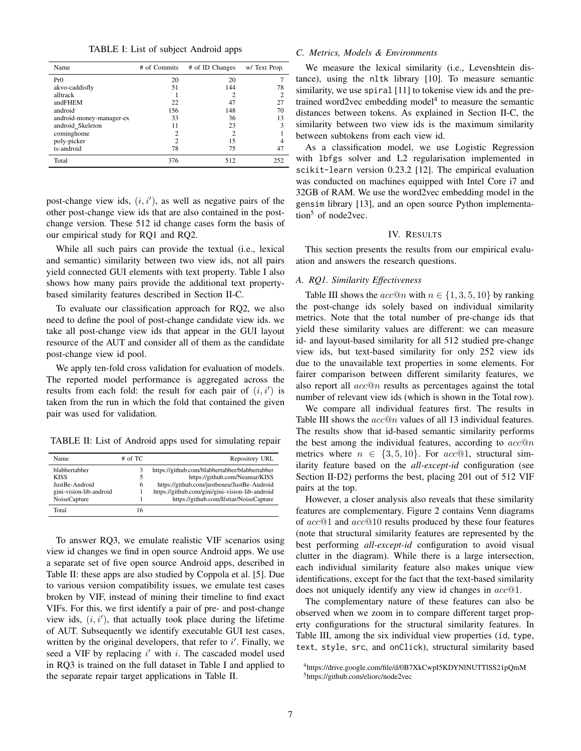TABLE I: List of subject Android apps

| Name                     | # of Commits   | # of ID Changes | w/ Text Prop. |
|--------------------------|----------------|-----------------|---------------|
| Pr()                     | 20             | 20              |               |
| akvo-caddisfly           | 51             | 144             | 78            |
| alltrack                 |                |                 | 2             |
| andFHEM                  | 22             | 47              | 27            |
| android                  | 156            | 148             | 70            |
| android-money-manager-ex | 33             | 36              | 13            |
| android_Skeleton         | 11             | 23              | 3             |
| cominghome               | $\overline{c}$ | っ               |               |
| poly-picker              | $\mathcal{D}$  | 15              |               |
| ts-android               | 78             | 75              | 47            |
| Total                    | 376            | 512             | 252           |

post-change view ids,  $(i, i')$ , as well as negative pairs of the other post-change view ids that are also contained in the postchange version. These 512 id change cases form the basis of our empirical study for RQ1 and RQ2.

While all such pairs can provide the textual (i.e., lexical and semantic) similarity between two view ids, not all pairs yield connected GUI elements with text property. Table I also shows how many pairs provide the additional text propertybased similarity features described in Section II-C.

To evaluate our classification approach for RQ2, we also need to define the pool of post-change candidate view ids. we take all post-change view ids that appear in the GUI layout resource of the AUT and consider all of them as the candidate post-change view id pool.

We apply ten-fold cross validation for evaluation of models. The reported model performance is aggregated across the results from each fold: the result for each pair of  $(i, i')$  is taken from the run in which the fold that contained the given pair was used for validation.

TABLE II: List of Android apps used for simulating repair

| Name                    | $#$ of TC. | Repository URL                                  |
|-------------------------|------------|-------------------------------------------------|
| hlabbertabber           | 3          | https://github.com/blabbertabber/blabbertabber  |
| <b>KISS</b>             | 5          | https://github.com/Neamar/KISS                  |
| JustBe-Android          | 6          | https://github.com/justbeneu/JustBe-Android     |
| gini-vision-lib-android |            | https://github.com/gini/gini-vision-lib-android |
| NoiseCapture            |            | https://github.com/Ifsttar/NoiseCapture         |
| Total                   | 16         |                                                 |

To answer RQ3, we emulate realistic VIF scenarios using view id changes we find in open source Android apps. We use a separate set of five open source Android apps, described in Table II: these apps are also studied by Coppola et al. [5]. Due to various version compatibility issues, we emulate test cases broken by VIF, instead of mining their timeline to find exact VIFs. For this, we first identify a pair of pre- and post-change view ids,  $(i, i')$ , that actually took place during the lifetime of AUT. Subsequently we identify executable GUI test cases, written by the original developers, that refer to  $i'$ . Finally, we seed a VIF by replacing  $i'$  with  $i$ . The cascaded model used in RQ3 is trained on the full dataset in Table I and applied to the separate repair target applications in Table II.

# *C. Metrics, Models & Environments*

We measure the lexical similarity (i.e., Levenshtein distance), using the nltk library [10]. To measure semantic similarity, we use spiral [11] to tokenise view ids and the pretrained word2vec embedding model<sup>4</sup> to measure the semantic distances between tokens. As explained in Section II-C, the similarity between two view ids is the maximum similarity between subtokens from each view id.

As a classification model, we use Logistic Regression with lbfgs solver and L2 regularisation implemented in scikit-learn version 0.23.2 [12]. The empirical evaluation was conducted on machines equipped with Intel Core i7 and 32GB of RAM. We use the word2vec embedding model in the gensim library [13], and an open source Python implementation $5$  of node2vec.

# IV. RESULTS

This section presents the results from our empirical evaluation and answers the research questions.

# *A. RQ1. Similarity Effectiveness*

Table III shows the  $acc@n$  with  $n \in \{1, 3, 5, 10\}$  by ranking the post-change ids solely based on individual similarity metrics. Note that the total number of pre-change ids that yield these similarity values are different: we can measure id- and layout-based similarity for all 512 studied pre-change view ids, but text-based similarity for only 252 view ids due to the unavailable text properties in some elements. For fairer comparison between different similarity features, we also report all  $acc@n$  results as percentages against the total number of relevant view ids (which is shown in the Total row).

We compare all individual features first. The results in Table III shows the  $acc@n$  values of all 13 individual features. The results show that id-based semantic similarity performs the best among the individual features, according to  $acc@n$ metrics where  $n \in \{3, 5, 10\}$ . For acc@1, structural similarity feature based on the *all-except-id* configuration (see Section II-D2) performs the best, placing 201 out of 512 VIF pairs at the top.

However, a closer analysis also reveals that these similarity features are complementary. Figure 2 contains Venn diagrams of acc@1 and acc@10 results produced by these four features (note that structural similarity features are represented by the best performing *all-except-id* configuration to avoid visual clutter in the diagram). While there is a large intersection, each individual similarity feature also makes unique view identifications, except for the fact that the text-based similarity does not uniquely identify any view id changes in acc@1.

The complementary nature of these features can also be observed when we zoom in to compare different target property configurations for the structural similarity features. In Table III, among the six individual view properties (id, type, text, style, src, and onClick), structural similarity based

<sup>4</sup>https://drive.google.com/file/d/0B7XkCwpI5KDYNlNUTTlSS21pQmM <sup>5</sup>https://github.com/eliorc/node2vec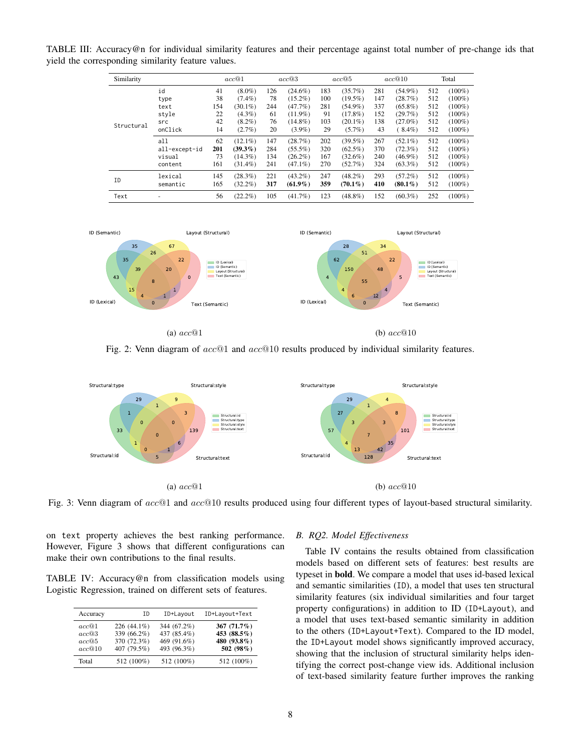TABLE III: Accuracy@n for individual similarity features and their percentage against total number of pre-change ids that yield the corresponding similarity feature values.

| Similarity |               |     | acc@1      |     | acc@3      |     | acc@5      |     | acc@10     |     | Total     |
|------------|---------------|-----|------------|-----|------------|-----|------------|-----|------------|-----|-----------|
|            | id            | 41  | $(8.0\%)$  | 126 | $(24.6\%)$ | 183 | (35.7%)    | 281 | $(54.9\%)$ | 512 | $(100\%)$ |
|            | type          | 38  | $(7.4\%)$  | 78  | $(15.2\%)$ | 100 | $(19.5\%)$ | 147 | (28.7%)    | 512 | $(100\%)$ |
|            | text          | 154 | $(30.1\%)$ | 244 | $(47.7\%)$ | 281 | $(54.9\%)$ | 337 | $(65.8\%)$ | 512 | $(100\%)$ |
|            | style         | 22  | $(4.3\%)$  | 61  | $(11.9\%)$ | 91  | $(17.8\%)$ | 152 | $(29.7\%)$ | 512 | $(100\%)$ |
|            | src           | 42  | $(8.2\%)$  | 76  | $(14.8\%)$ | 103 | $(20.1\%)$ | 138 | $(27.0\%)$ | 512 | $(100\%)$ |
| Structural | onClick       | 14  | $(2.7\%)$  | 20  | $(3.9\%)$  | 29  | $(5.7\%)$  | 43  | $8.4\%$    | 512 | $(100\%)$ |
|            | all           | 62  | $(12.1\%)$ | 147 | (28.7%)    | 202 | $(39.5\%)$ | 267 | $(52.1\%)$ | 512 | $(100\%)$ |
|            | all-except-id | 201 | $(39.3\%)$ | 284 | $(55.5\%)$ | 320 | $(62.5\%)$ | 370 | $(72.3\%)$ | 512 | $(100\%)$ |
|            | visual        | 73  | $(14.3\%)$ | 134 | $(26.2\%)$ | 167 | $(32.6\%)$ | 240 | $(46.9\%)$ | 512 | $(100\%)$ |
|            | content       | 161 | $(31.4\%)$ | 241 | $(47.1\%)$ | 270 | (52.7%)    | 324 | $(63.3\%)$ | 512 | $(100\%)$ |
|            | lexical       | 145 | $(28.3\%)$ | 221 | $(43.2\%)$ | 247 | $(48.2\%)$ | 293 | $(57.2\%)$ | 512 | $(100\%)$ |
| ID         | semantic      | 165 | $(32.2\%)$ | 317 | $(61.9\%)$ | 359 | $(70.1\%)$ | 410 | $(80.1\%)$ | 512 | $(100\%)$ |
| Text       | ٠             | 56  | $(22.2\%)$ | 105 | $(41.7\%)$ | 123 | $(48.8\%)$ | 152 | $(60.3\%)$ | 252 | $(100\%)$ |



(a)  $acc@1$ 

(b) acc@10

Fig. 2: Venn diagram of  $acc@1$  and  $acc@10$  results produced by individual similarity features.



Fig. 3: Venn diagram of  $acc@1$  and  $acc@10$  results produced using four different types of layout-based structural similarity.

on text property achieves the best ranking performance. However, Figure 3 shows that different configurations can make their own contributions to the final results.

TABLE IV: Accuracy@n from classification models using Logistic Regression, trained on different sets of features.

| Accuracy | <b>TD</b>     | ID+Layout   | ID+Layout+Text |
|----------|---------------|-------------|----------------|
| acc@1    | $226(44.1\%)$ | 344 (67.2%) | 367 $(71.7\%)$ |
| acc@3    | 339 (66.2%)   | 437 (85.4%) | 453 (88.5%)    |
| acc@5    | 370 (72.3%)   | 469 (91.6%) | 480 (93.8%)    |
| acc@10   | 407 (79.5%)   | 493 (96.3%) | 502 (98%)      |
| Total    | 512 (100%)    | 512 (100%)  | 512 (100%)     |

## *B. RQ2. Model Effectiveness*

Table IV contains the results obtained from classification models based on different sets of features: best results are typeset in bold. We compare a model that uses id-based lexical and semantic similarities (ID), a model that uses ten structural similarity features (six individual similarities and four target property configurations) in addition to ID (ID+Layout), and a model that uses text-based semantic similarity in addition to the others (ID+Layout+Text). Compared to the ID model, the ID+Layout model shows significantly improved accuracy, showing that the inclusion of structural similarity helps identifying the correct post-change view ids. Additional inclusion of text-based similarity feature further improves the ranking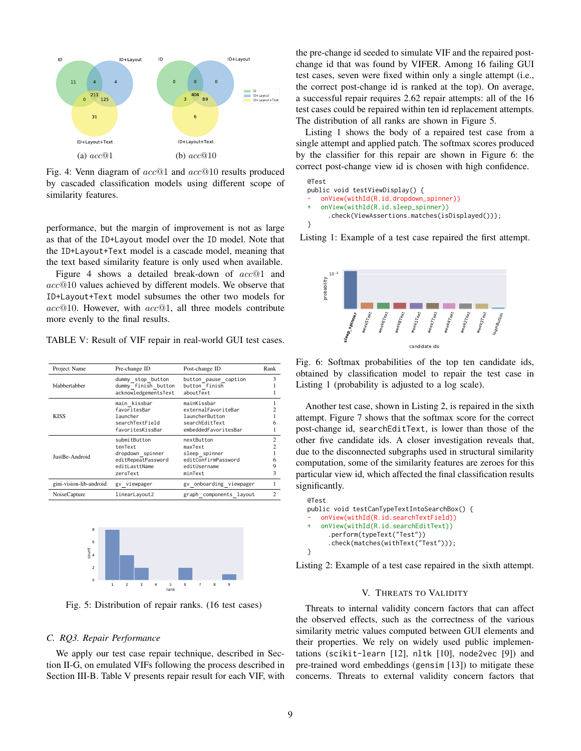

Fig. 4: Venn diagram of acc@1 and acc@10 results produced by cascaded classification models using different scope of similarity features.

performance, but the margin of improvement is not as large as that of the ID+Layout model over the ID model. Note that the ID+Layout+Text model is a cascade model, meaning that the text based similarity feature is only used when available.

Figure 4 shows a detailed break-down of acc@1 and acc@10 values achieved by different models. We observe that ID+Layout+Text model subsumes the other two models for  $acc@10$ . However, with  $acc@1$ , all three models contribute more evenly to the final results.

TABLE V: Result of VIF repair in real-world GUI test cases.

| Project Name            | Pre-change ID        | Post-change ID          | Rank           |
|-------------------------|----------------------|-------------------------|----------------|
|                         | dummy stop button    | button pause caption    | 3              |
| blabbertabber           | dummy finish button  | button finish           |                |
|                         | acknowledgementsText | aboutText               |                |
|                         | main kissbar         | mainKissbar             |                |
|                         | favoritesBar         | externalFavoriteBar     |                |
| <b>KISS</b>             | launcher             | launcherButton          |                |
|                         | searchTextField      | searchEditText          | 6              |
|                         | favoritesKissBar     | embeddedFavoritesBar    |                |
|                         | submitButton         | nextButton              | $\overline{c}$ |
|                         | tenText              | maxText                 | 2              |
| JustBe-Android          | dropdown spinner     | sleep spinner           |                |
|                         | editRepeatPassword   | editConfirmPassword     | 6              |
|                         | editLasttName        | editUsername            | 9              |
|                         | zeroText             | minText                 | 3              |
| gini-vision-lib-android | gv viewpager         | gv onboarding viewpager | 1              |
| NoiseCapture            | linearLayout2        | graph components layout | $\mathcal{D}$  |



Fig. 5: Distribution of repair ranks. (16 test cases)

#### *C. RQ3. Repair Performance*

We apply our test case repair technique, described in Section II-G, on emulated VIFs following the process described in Section III-B. Table V presents repair result for each VIF, with the pre-change id seeded to simulate VIF and the repaired postchange id that was found by VIFER. Among 16 failing GUI test cases, seven were fixed within only a single attempt (i.e., the correct post-change id is ranked at the top). On average, a successful repair requires 2.62 repair attempts: all of the 16 test cases could be repaired within ten id replacement attempts. The distribution of all ranks are shown in Figure 5.

Listing 1 shows the body of a repaired test case from a single attempt and applied patch. The softmax scores produced by the classifier for this repair are shown in Figure 6: the correct post-change view id is chosen with high confidence.

```
@Test
public void testViewDisplay() {
   - onView(withId(R.id.dropdown_spinner))
   onView(withId(R.id.sleep_spinner))
      .check(ViewAssertions.matches(isDisplayed()));
}
```
Listing 1: Example of a test case repaired the first attempt.



Fig. 6: Softmax probabilities of the top ten candidate ids, obtained by classification model to repair the test case in Listing 1 (probability is adjusted to a log scale).

Another test case, shown in Listing 2, is repaired in the sixth attempt. Figure 7 shows that the softmax score for the correct post-change id, searchEditText, is lower than those of the other five candidate ids. A closer investigation reveals that, due to the disconnected subgraphs used in structural similarity computation, some of the similarity features are zeroes for this particular view id, which affected the final classification results significantly.

```
@Test
public void testCanTypeTextIntoSearchBox() {
   onView(withId(R.id.searchTextField))
   onView(withId(R.id.searchEditText))
      .perform(typeText("Test"))
      .check(matches(withText("Test")));
}
```
Listing 2: Example of a test case repaired in the sixth attempt.

## V. THREATS TO VALIDITY

Threats to internal validity concern factors that can affect the observed effects, such as the correctness of the various similarity metric values computed between GUI elements and their properties. We rely on widely used public implementations (scikit-learn [12], nltk [10], node2vec [9]) and pre-trained word embeddings (gensim [13]) to mitigate these concerns. Threats to external validity concern factors that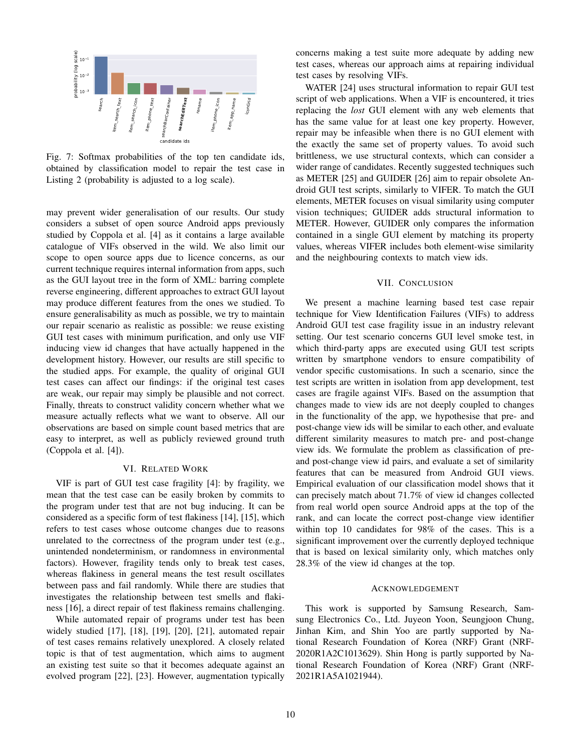

Fig. 7: Softmax probabilities of the top ten candidate ids, obtained by classification model to repair the test case in Listing 2 (probability is adjusted to a log scale).

may prevent wider generalisation of our results. Our study considers a subset of open source Android apps previously studied by Coppola et al. [4] as it contains a large available catalogue of VIFs observed in the wild. We also limit our scope to open source apps due to licence concerns, as our current technique requires internal information from apps, such as the GUI layout tree in the form of XML: barring complete reverse engineering, different approaches to extract GUI layout may produce different features from the ones we studied. To ensure generalisability as much as possible, we try to maintain our repair scenario as realistic as possible: we reuse existing GUI test cases with minimum purification, and only use VIF inducing view id changes that have actually happened in the development history. However, our results are still specific to the studied apps. For example, the quality of original GUI test cases can affect our findings: if the original test cases are weak, our repair may simply be plausible and not correct. Finally, threats to construct validity concern whether what we measure actually reflects what we want to observe. All our observations are based on simple count based metrics that are easy to interpret, as well as publicly reviewed ground truth (Coppola et al. [4]).

# VI. RELATED WORK

VIF is part of GUI test case fragility [4]: by fragility, we mean that the test case can be easily broken by commits to the program under test that are not bug inducing. It can be considered as a specific form of test flakiness [14], [15], which refers to test cases whose outcome changes due to reasons unrelated to the correctness of the program under test (e.g., unintended nondeterminism, or randomness in environmental factors). However, fragility tends only to break test cases, whereas flakiness in general means the test result oscillates between pass and fail randomly. While there are studies that investigates the relationship between test smells and flakiness [16], a direct repair of test flakiness remains challenging.

While automated repair of programs under test has been widely studied [17], [18], [19], [20], [21], automated repair of test cases remains relatively unexplored. A closely related topic is that of test augmentation, which aims to augment an existing test suite so that it becomes adequate against an evolved program [22], [23]. However, augmentation typically

concerns making a test suite more adequate by adding new test cases, whereas our approach aims at repairing individual test cases by resolving VIFs.

WATER [24] uses structural information to repair GUI test script of web applications. When a VIF is encountered, it tries replacing the *lost* GUI element with any web elements that has the same value for at least one key property. However, repair may be infeasible when there is no GUI element with the exactly the same set of property values. To avoid such brittleness, we use structural contexts, which can consider a wider range of candidates. Recently suggested techniques such as METER [25] and GUIDER [26] aim to repair obsolete Android GUI test scripts, similarly to VIFER. To match the GUI elements, METER focuses on visual similarity using computer vision techniques; GUIDER adds structural information to METER. However, GUIDER only compares the information contained in a single GUI element by matching its property values, whereas VIFER includes both element-wise similarity and the neighbouring contexts to match view ids.

#### VII. CONCLUSION

We present a machine learning based test case repair technique for View Identification Failures (VIFs) to address Android GUI test case fragility issue in an industry relevant setting. Our test scenario concerns GUI level smoke test, in which third-party apps are executed using GUI test scripts written by smartphone vendors to ensure compatibility of vendor specific customisations. In such a scenario, since the test scripts are written in isolation from app development, test cases are fragile against VIFs. Based on the assumption that changes made to view ids are not deeply coupled to changes in the functionality of the app, we hypothesise that pre- and post-change view ids will be similar to each other, and evaluate different similarity measures to match pre- and post-change view ids. We formulate the problem as classification of preand post-change view id pairs, and evaluate a set of similarity features that can be measured from Android GUI views. Empirical evaluation of our classification model shows that it can precisely match about 71.7% of view id changes collected from real world open source Android apps at the top of the rank, and can locate the correct post-change view identifier within top 10 candidates for 98% of the cases. This is a significant improvement over the currently deployed technique that is based on lexical similarity only, which matches only 28.3% of the view id changes at the top.

#### ACKNOWLEDGEMENT

This work is supported by Samsung Research, Samsung Electronics Co., Ltd. Juyeon Yoon, Seungjoon Chung, Jinhan Kim, and Shin Yoo are partly supported by National Research Foundation of Korea (NRF) Grant (NRF-2020R1A2C1013629). Shin Hong is partly supported by National Research Foundation of Korea (NRF) Grant (NRF-2021R1A5A1021944).